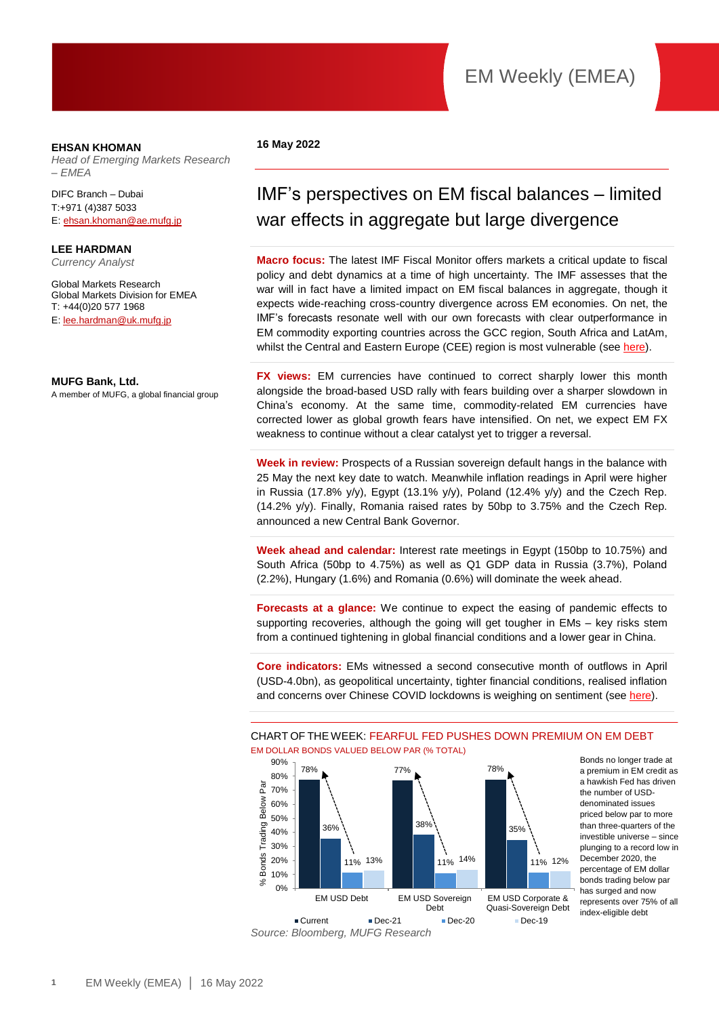### **EHSAN KHOMAN**

*Head of Emerging Markets Research – EMEA* 

DIFC Branch – Dubai T:+971 (4)387 5033 E[: ehsan.khoman@ae.mufg.jp](mailto:ehsan.khoman@ae.mufg.jp)

**LEE HARDMAN** *Currency Analyst*

Global Markets Research

Global Markets Division for EMEA T: +44(0)20 577 1968 E[: lee.hardman@uk.mufg.jp](mailto:lee.hardman@uk.mufg.jp)

### **MUFG Bank, Ltd.**

A member of MUFG, a global financial group

### **16 May 2022**

# IMF's perspectives on EM fiscal balances – limited war effects in aggregate but large divergence

**Macro focus:** The latest IMF Fiscal Monitor offers markets a critical update to fiscal policy and debt dynamics at a time of high uncertainty. The IMF assesses that the war will in fact have a limited impact on EM fiscal balances in aggregate, though it expects wide-reaching cross-country divergence across EM economies. On net, the IMF's forecasts resonate well with our own forecasts with clear outperformance in EM commodity exporting countries across the GCC region, South Africa and LatAm, whilst the Central and Eastern Europe (CEE) region is most vulnerable (see [here\)](https://market-research.bk.mufg.jp/distribution/47963_ext_01_en_0.pdf).

**FX views:** EM currencies have continued to correct sharply lower this month alongside the broad-based USD rally with fears building over a sharper slowdown in China's economy. At the same time, commodity-related EM currencies have corrected lower as global growth fears have intensified. On net, we expect EM FX weakness to continue without a clear catalyst yet to trigger a reversal.

**Week in review:** Prospects of a Russian sovereign default hangs in the balance with 25 May the next key date to watch. Meanwhile inflation readings in April were higher in Russia (17.8% y/y), Egypt (13.1% y/y), Poland (12.4% y/y) and the Czech Rep. (14.2% y/y). Finally, Romania raised rates by 50bp to 3.75% and the Czech Rep. announced a new Central Bank Governor.

**Week ahead and calendar:** Interest rate meetings in Egypt (150bp to 10.75%) and South Africa (50bp to 4.75%) as well as Q1 GDP data in Russia (3.7%), Poland (2.2%), Hungary (1.6%) and Romania (0.6%) will dominate the week ahead.

**Forecasts at a glance:** We continue to expect the easing of pandemic effects to supporting recoveries, although the going will get tougher in EMs – key risks stem from a continued tightening in global financial conditions and a lower gear in China.

**Core indicators:** EMs witnessed a second consecutive month of outflows in April (USD-4.0bn), as geopolitical uncertainty, tighter financial conditions, realised inflation and concerns over Chinese COVID lockdowns is weighing on sentiment (see [here\)](https://market-research.bk.mufg.jp/distribution/47256_ext_01_en_0.pdf).

CHART OF THE WEEK: FEARFUL FED PUSHES DOWN PREMIUM ON EM DEBT





Bonds no longer trade at a premium in EM credit as a hawkish Fed has driven the number of USDdenominated issues priced below par to more than three-quarters of the investible universe – since plunging to a record low in December 2020, the percentage of EM dollar bonds trading below par has surged and now represents over 75% of all index-eligible debt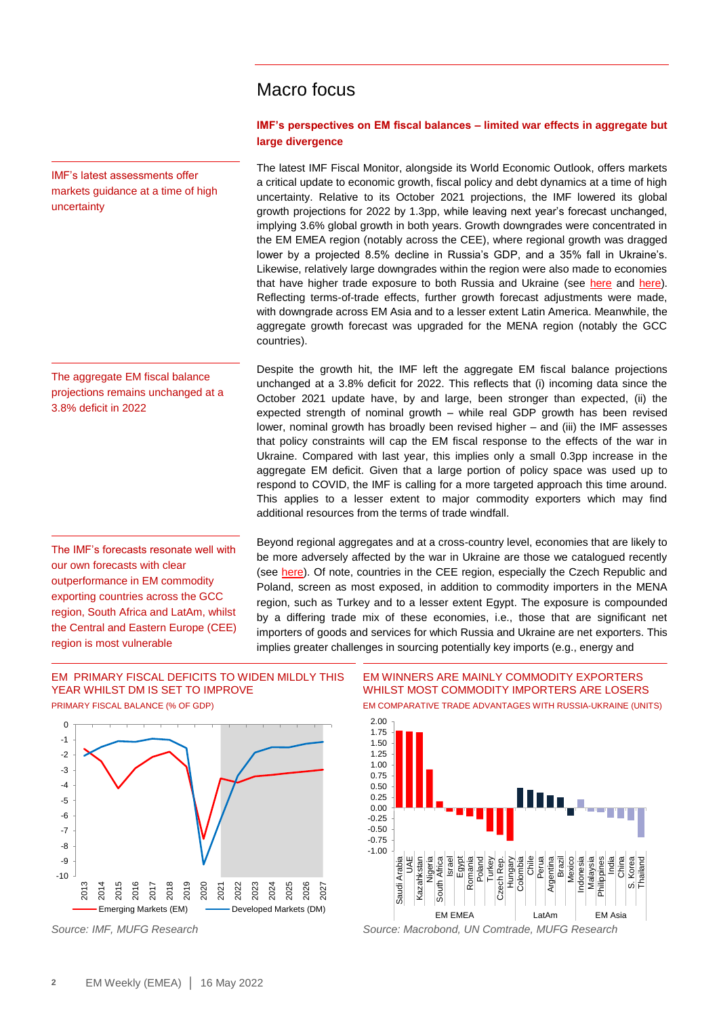# Macro focus

### **IMF's perspectives on EM fiscal balances – limited war effects in aggregate but large divergence**

The latest IMF Fiscal Monitor, alongside its World Economic Outlook, offers markets a critical update to economic growth, fiscal policy and debt dynamics at a time of high uncertainty. Relative to its October 2021 projections, the IMF lowered its global growth projections for 2022 by 1.3pp, while leaving next year's forecast unchanged, implying 3.6% global growth in both years. Growth downgrades were concentrated in the EM EMEA region (notably across the CEE), where regional growth was dragged lower by a projected 8.5% decline in Russia's GDP, and a 35% fall in Ukraine's. Likewise, relatively large downgrades within the region were also made to economies that have higher trade exposure to both Russia and Ukraine (see [here](https://market-research.bk.mufg.jp/distribution/47769_ext_01_en_0.pdf) and [here\)](https://market-research.bk.mufg.jp/distribution/47656_ext_01_en_0.pdf). Reflecting terms-of-trade effects, further growth forecast adjustments were made, with downgrade across EM Asia and to a lesser extent Latin America. Meanwhile, the aggregate growth forecast was upgraded for the MENA region (notably the GCC countries).

Despite the growth hit, the IMF left the aggregate EM fiscal balance projections unchanged at a 3.8% deficit for 2022. This reflects that (i) incoming data since the October 2021 update have, by and large, been stronger than expected, (ii) the expected strength of nominal growth – while real GDP growth has been revised lower, nominal growth has broadly been revised higher – and (iii) the IMF assesses that policy constraints will cap the EM fiscal response to the effects of the war in Ukraine. Compared with last year, this implies only a small 0.3pp increase in the aggregate EM deficit. Given that a large portion of policy space was used up to respond to COVID, the IMF is calling for a more targeted approach this time around. This applies to a lesser extent to major commodity exporters which may find additional resources from the terms of trade windfall.

Beyond regional aggregates and at a cross-country level, economies that are likely to be more adversely affected by the war in Ukraine are those we catalogued recently (see [here\)](https://market-research.bk.mufg.jp/distribution/47963_ext_01_en_0.pdf). Of note, countries in the CEE region, especially the Czech Republic and Poland, screen as most exposed, in addition to commodity importers in the MENA region, such as Turkey and to a lesser extent Egypt. The exposure is compounded by a differing trade mix of these economies, i.e., those that are significant net importers of goods and services for which Russia and Ukraine are net exporters. This implies greater challenges in sourcing potentially key imports (e.g., energy and

### EM PRIMARY FISCAL DEFICITS TO WIDEN MILDLY THIS YEAR WHILST DM IS SET TO IMPROVE PRIMARY FISCAL BALANCE (% OF GDP)



EM WINNERS ARE MAINLY COMMODITY EXPORTERS WHILST MOST COMMODITY IMPORTERS ARE LOSERS EM COMPARATIVE TRADE ADVANTAGES WITH RUSSIA-UKRAINE (UNITS)



*Source: IMF, MUFG Research Source: Macrobond, UN Comtrade, MUFG Research*

IMF's latest assessments offer markets guidance at a time of high uncertainty

The aggregate EM fiscal balance projections remains unchanged at a 3.8% deficit in 2022

The IMF's forecasts resonate well with our own forecasts with clear outperformance in EM commodity exporting countries across the GCC region, South Africa and LatAm, whilst the Central and Eastern Europe (CEE) region is most vulnerable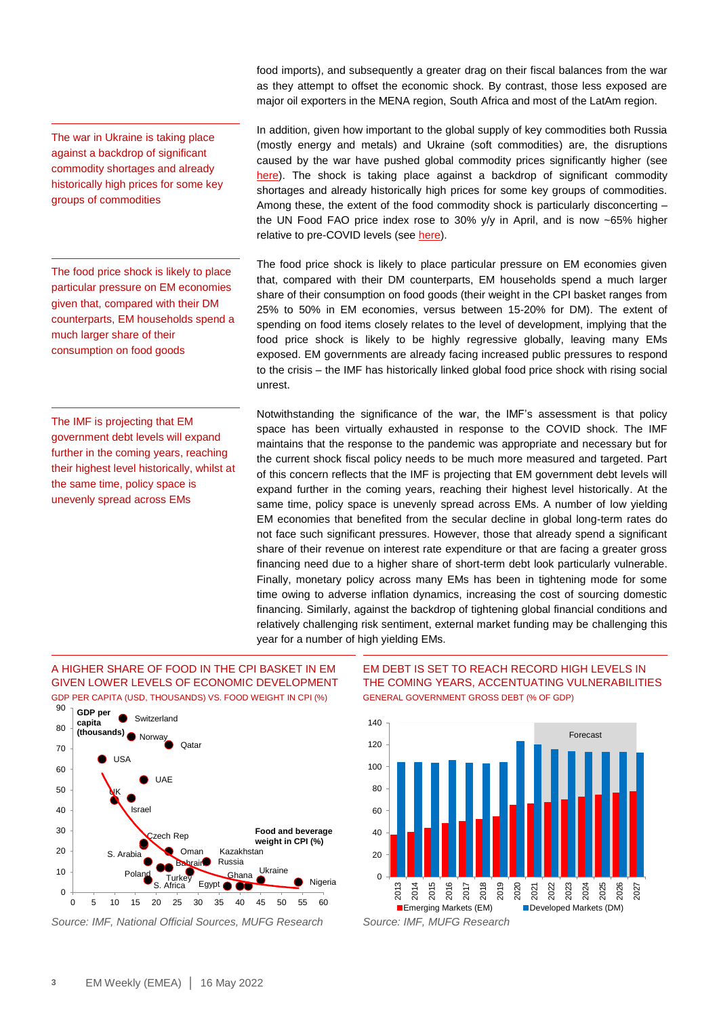The war in Ukraine is taking place against a backdrop of significant commodity shortages and already historically high prices for some key groups of commodities

The food price shock is likely to place particular pressure on EM economies given that, compared with their DM counterparts, EM households spend a much larger share of their consumption on food goods

The IMF is projecting that EM government debt levels will expand further in the coming years, reaching their highest level historically, whilst at the same time, policy space is unevenly spread across EMs

food imports), and subsequently a greater drag on their fiscal balances from the war as they attempt to offset the economic shock. By contrast, those less exposed are major oil exporters in the MENA region, South Africa and most of the LatAm region.

In addition, given how important to the global supply of key commodities both Russia (mostly energy and metals) and Ukraine (soft commodities) are, the disruptions caused by the war have pushed global commodity prices significantly higher (see [here\)](https://market-research.bk.mufg.jp/distribution/47843_ext_01_en_0.pdf). The shock is taking place against a backdrop of significant commodity shortages and already historically high prices for some key groups of commodities. Among these, the extent of the food commodity shock is particularly disconcerting – the UN Food FAO price index rose to 30% y/y in April, and is now ~65% higher relative to pre-COVID levels (se[e here\)](https://market-research.bk.mufg.jp/distribution/47837_ext_01_en_0.pdf).

The food price shock is likely to place particular pressure on EM economies given that, compared with their DM counterparts, EM households spend a much larger share of their consumption on food goods (their weight in the CPI basket ranges from 25% to 50% in EM economies, versus between 15-20% for DM). The extent of spending on food items closely relates to the level of development, implying that the food price shock is likely to be highly regressive globally, leaving many EMs exposed. EM governments are already facing increased public pressures to respond to the crisis – the IMF has historically linked global food price shock with rising social unrest.

Notwithstanding the significance of the war, the IMF's assessment is that policy space has been virtually exhausted in response to the COVID shock. The IMF maintains that the response to the pandemic was appropriate and necessary but for the current shock fiscal policy needs to be much more measured and targeted. Part of this concern reflects that the IMF is projecting that EM government debt levels will expand further in the coming years, reaching their highest level historically. At the same time, policy space is unevenly spread across EMs. A number of low yielding EM economies that benefited from the secular decline in global long-term rates do not face such significant pressures. However, those that already spend a significant share of their revenue on interest rate expenditure or that are facing a greater gross financing need due to a higher share of short-term debt look particularly vulnerable. Finally, monetary policy across many EMs has been in tightening mode for some time owing to adverse inflation dynamics, increasing the cost of sourcing domestic financing. Similarly, against the backdrop of tightening global financial conditions and relatively challenging risk sentiment, external market funding may be challenging this year for a number of high yielding EMs.

### A HIGHER SHARE OF FOOD IN THE CPI BASKET IN EM GIVEN LOWER LEVELS OF ECONOMIC DEVELOPMENT GDP PER CAPITA (USD, THOUSANDS) VS. FOOD WEIGHT IN CPI (%)



*Source: IMF, National Official Sources, MUFG Research Source: IMF, MUFG Research*

### EM DEBT IS SET TO REACH RECORD HIGH LEVELS IN THE COMING YEARS, ACCENTUATING VULNERABILITIES GENERAL GOVERNMENT GROSS DEBT (% OF GDP)

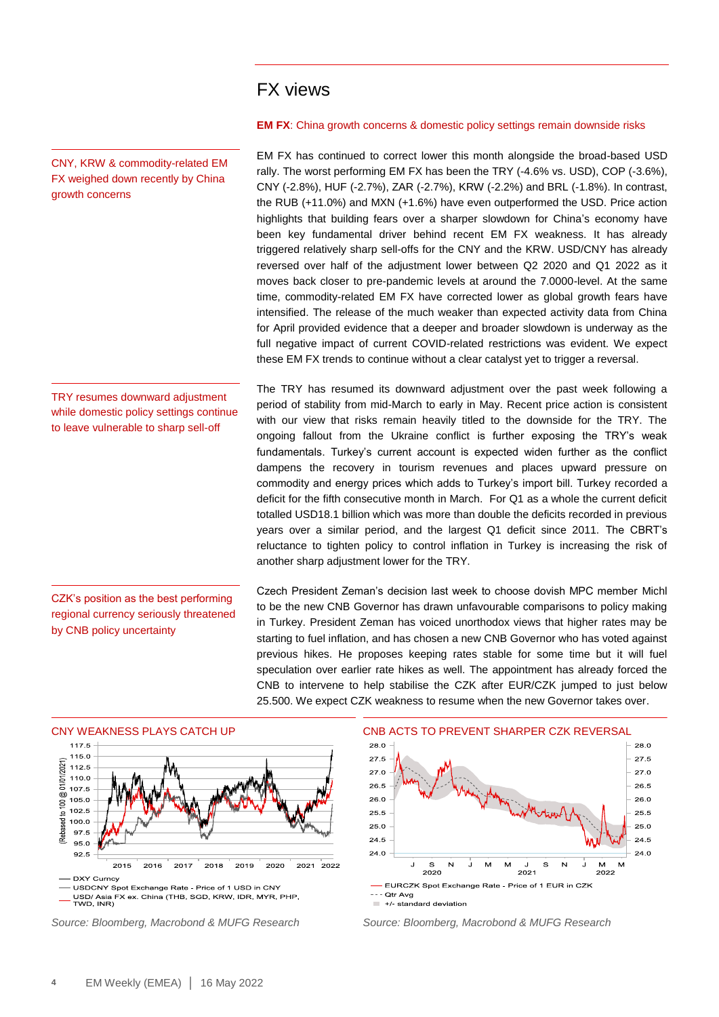### FX views

CNY, KRW & commodity-related EM FX weighed down recently by China growth concerns

TRY resumes downward adjustment while domestic policy settings continue to leave vulnerable to sharp sell-off

CZK's position as the best performing regional currency seriously threatened by CNB policy uncertainty

**EM FX**: China growth concerns & domestic policy settings remain downside risks

EM FX has continued to correct lower this month alongside the broad-based USD rally. The worst performing EM FX has been the TRY (-4.6% vs. USD), COP (-3.6%), CNY (-2.8%), HUF (-2.7%), ZAR (-2.7%), KRW (-2.2%) and BRL (-1.8%). In contrast, the RUB (+11.0%) and MXN (+1.6%) have even outperformed the USD. Price action highlights that building fears over a sharper slowdown for China's economy have been key fundamental driver behind recent EM FX weakness. It has already triggered relatively sharp sell-offs for the CNY and the KRW. USD/CNY has already reversed over half of the adjustment lower between Q2 2020 and Q1 2022 as it moves back closer to pre-pandemic levels at around the 7.0000-level. At the same time, commodity-related EM FX have corrected lower as global growth fears have intensified. The release of the much weaker than expected activity data from China for April provided evidence that a deeper and broader slowdown is underway as the full negative impact of current COVID-related restrictions was evident. We expect these EM FX trends to continue without a clear catalyst yet to trigger a reversal.

The TRY has resumed its downward adjustment over the past week following a period of stability from mid-March to early in May. Recent price action is consistent with our view that risks remain heavily titled to the downside for the TRY. The ongoing fallout from the Ukraine conflict is further exposing the TRY's weak fundamentals. Turkey's current account is expected widen further as the conflict dampens the recovery in tourism revenues and places upward pressure on commodity and energy prices which adds to Turkey's import bill. Turkey recorded a deficit for the fifth consecutive month in March. For Q1 as a whole the current deficit totalled USD18.1 billion which was more than double the deficits recorded in previous years over a similar period, and the largest Q1 deficit since 2011. The CBRT's reluctance to tighten policy to control inflation in Turkey is increasing the risk of another sharp adjustment lower for the TRY.

Czech President Zeman's decision last week to choose dovish MPC member Michl to be the new CNB Governor has drawn unfavourable comparisons to policy making in Turkey. President Zeman has voiced unorthodox views that higher rates may be starting to fuel inflation, and has chosen a new CNB Governor who has voted against previous hikes. He proposes keeping rates stable for some time but it will fuel speculation over earlier rate hikes as well. The appointment has already forced the CNB to intervene to help stabilise the CZK after EUR/CZK jumped to just below 25.500. We expect CZK weakness to resume when the new Governor takes over.



*Source: Bloomberg, Macrobond & MUFG Research Source: Bloomberg, Macrobond & MUFG Research*

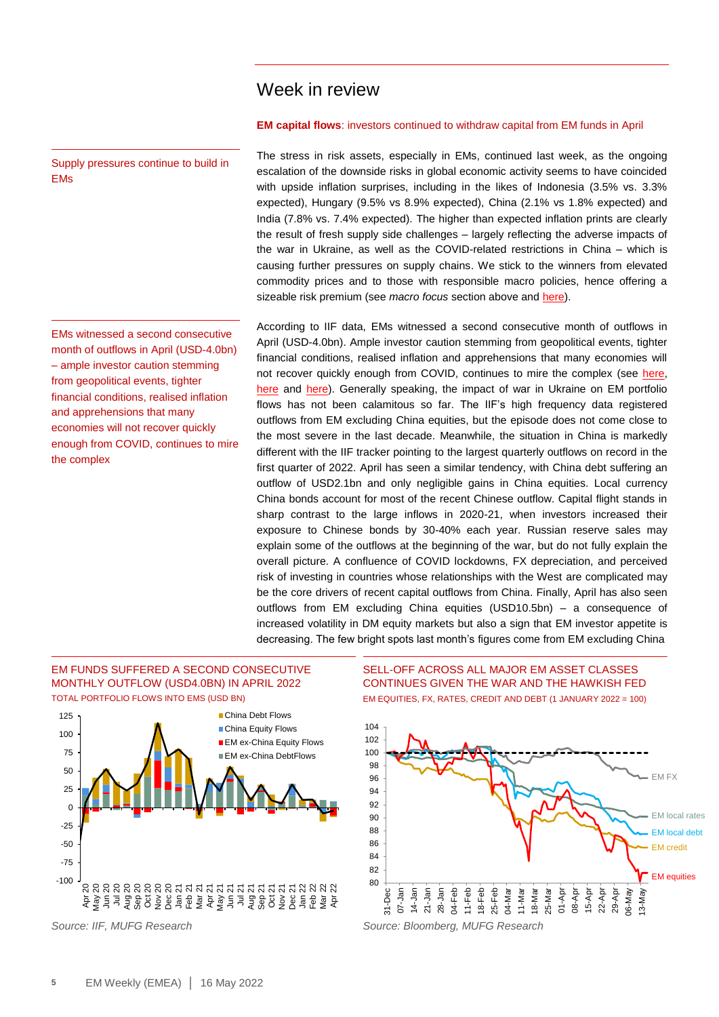### Week in review

### **EM capital flows**: investors continued to withdraw capital from EM funds in April

The stress in risk assets, especially in EMs, continued last week, as the ongoing escalation of the downside risks in global economic activity seems to have coincided with upside inflation surprises, including in the likes of Indonesia (3.5% vs. 3.3% expected), Hungary (9.5% vs 8.9% expected), China (2.1% vs 1.8% expected) and India (7.8% vs. 7.4% expected). The higher than expected inflation prints are clearly the result of fresh supply side challenges – largely reflecting the adverse impacts of the war in Ukraine, as well as the COVID-related restrictions in China – which is causing further pressures on supply chains. We stick to the winners from elevated commodity prices and to those with responsible macro policies, hence offering a sizeable risk premium (see *macro focus* section above and [here\)](https://market-research.bk.mufg.jp/distribution/47963_ext_01_en_0.pdf).

According to IIF data, EMs witnessed a second consecutive month of outflows in April (USD-4.0bn). Ample investor caution stemming from geopolitical events, tighter financial conditions, realised inflation and apprehensions that many economies will not recover quickly enough from COVID, continues to mire the complex (see [here,](https://market-research.bk.mufg.jp/distribution/47115_ext_01_en_0.pdf) [here](https://market-research.bk.mufg.jp/distribution/47111_ext_01_en_0.pdf) and [here\)](https://market-research.bk.mufg.jp/distribution/47177_ext_01_en_0.pdf). Generally speaking, the impact of war in Ukraine on EM portfolio flows has not been calamitous so far. The IIF's high frequency data registered outflows from EM excluding China equities, but the episode does not come close to the most severe in the last decade. Meanwhile, the situation in China is markedly different with the IIF tracker pointing to the largest quarterly outflows on record in the first quarter of 2022. April has seen a similar tendency, with China debt suffering an outflow of USD2.1bn and only negligible gains in China equities. Local currency China bonds account for most of the recent Chinese outflow. Capital flight stands in sharp contrast to the large inflows in 2020-21, when investors increased their exposure to Chinese bonds by 30-40% each year. Russian reserve sales may explain some of the outflows at the beginning of the war, but do not fully explain the overall picture. A confluence of COVID lockdowns, FX depreciation, and perceived risk of investing in countries whose relationships with the West are complicated may be the core drivers of recent capital outflows from China. Finally, April has also seen outflows from EM excluding China equities (USD10.5bn) – a consequence of increased volatility in DM equity markets but also a sign that EM investor appetite is decreasing. The few bright spots last month's figures come from EM excluding China

### EM FUNDS SUFFERED A SECOND CONSECUTIVE MONTHLY OUTFLOW (USD4.0BN) IN APRIL 2022 TOTAL PORTFOLIO FLOWS INTO EMS (USD BN)

Supply pressures continue to build in

EMs witnessed a second consecutive month of outflows in April (USD-4.0bn) – ample investor caution stemming from geopolitical events, tighter financial conditions, realised inflation and apprehensions that many economies will not recover quickly enough from COVID, continues to mire

EMs

the complex



SELL-OFF ACROSS ALL MAJOR EM ASSET CLASSES CONTINUES GIVEN THE WAR AND THE HAWKISH FED EM EQUITIES, FX, RATES, CREDIT AND DEBT (1 JANUARY 2022 = 100)

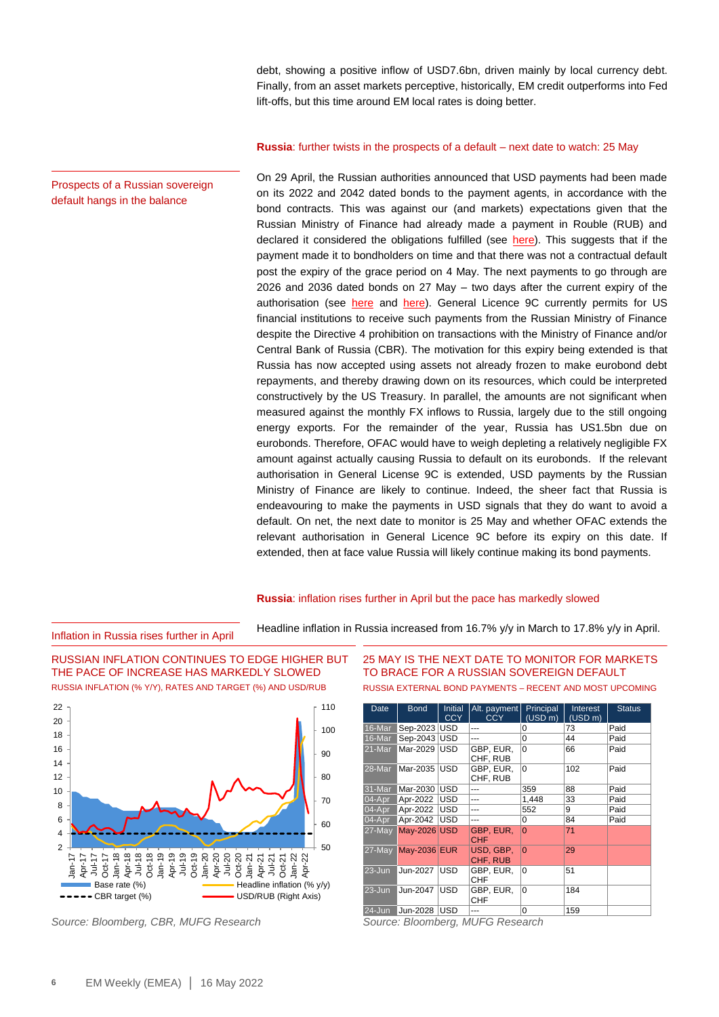debt, showing a positive inflow of USD7.6bn, driven mainly by local currency debt. Finally, from an asset markets perceptive, historically, EM credit outperforms into Fed lift-offs, but this time around EM local rates is doing better.

#### **Russia**: further twists in the prospects of a default – next date to watch: 25 May

On 29 April, the Russian authorities announced that USD payments had been made on its 2022 and 2042 dated bonds to the payment agents, in accordance with the bond contracts. This was against our (and markets) expectations given that the Russian Ministry of Finance had already made a payment in Rouble (RUB) and declared it considered the obligations fulfilled (see [here\)](https://market-research.bk.mufg.jp/distribution/48014_ext_01_en_0.pdf). This suggests that if the payment made it to bondholders on time and that there was not a contractual default post the expiry of the grace period on 4 May. The next payments to go through are 2026 and 2036 dated bonds on 27 May – two days after the current expiry of the authorisation (see [here](https://market-research.bk.mufg.jp/distribution/47902_ext_01_en_0.pdf) and [here\)](https://market-research.bk.mufg.jp/distribution/47769_ext_01_en_0.pdf). General Licence 9C currently permits for US financial institutions to receive such payments from the Russian Ministry of Finance despite the Directive 4 prohibition on transactions with the Ministry of Finance and/or Central Bank of Russia (CBR). The motivation for this expiry being extended is that Russia has now accepted using assets not already frozen to make eurobond debt repayments, and thereby drawing down on its resources, which could be interpreted constructively by the US Treasury. In parallel, the amounts are not significant when measured against the monthly FX inflows to Russia, largely due to the still ongoing energy exports. For the remainder of the year, Russia has US1.5bn due on eurobonds. Therefore, OFAC would have to weigh depleting a relatively negligible FX amount against actually causing Russia to default on its eurobonds. If the relevant authorisation in General License 9C is extended, USD payments by the Russian Ministry of Finance are likely to continue. Indeed, the sheer fact that Russia is endeavouring to make the payments in USD signals that they do want to avoid a default. On net, the next date to monitor is 25 May and whether OFAC extends the relevant authorisation in General Licence 9C before its expiry on this date. If extended, then at face value Russia will likely continue making its bond payments.

### **Russia**: inflation rises further in April but the pace has markedly slowed

Headline inflation in Russia increased from 16.7% y/y in March to 17.8% y/y in April.



RUSSIAN INFLATION CONTINUES TO EDGE HIGHER BUT

Inflation in Russia rises further in April



*Source: Bloomberg, CBR, MUFG Research Source: Bloomberg, MUFG Research*

25 MAY IS THE NEXT DATE TO MONITOR FOR MARKETS TO BRACE FOR A RUSSIAN SOVEREIGN DEFAULT RUSSIA EXTERNAL BOND PAYMENTS – RECENT AND MOST UPCOMING

| Date       | <b>Bond</b>         | <b>Initial</b><br><b>CCY</b> | Alt. payment<br><b>CCY</b> | Principal<br>(USD m) | Interest<br>(USD m) | <b>Status</b> |
|------------|---------------------|------------------------------|----------------------------|----------------------|---------------------|---------------|
| 16-Mar     | Sep-2023   USD      |                              | ---                        | 0                    | 73                  | Paid          |
| 16-Mar     | Sep-2043   USD      |                              |                            | 0                    | 44                  | Paid          |
| 21-Mar     | Mar-2029 USD        |                              | GBP, EUR,<br>CHF, RUB      | $\Omega$             | 66                  | Paid          |
| 28-Mar     | Mar-2035            | <b>USD</b>                   | GBP, EUR,<br>CHF, RUB      | $\Omega$             | 102                 | Paid          |
| 31-Mar     | Mar-2030            | <b>USD</b>                   | ---                        | 359                  | 88                  | Paid          |
| $04-Apr$   | Apr-2022            | <b>USD</b>                   | ---                        | 1,448                | 33                  | Paid          |
| $04-Apr$   | Apr-2022            | <b>USD</b>                   | ---                        | 552                  | 9                   | Paid          |
| $04-Apr$   | Apr-2042            | IUSD                         |                            | 0                    | 84                  | Paid          |
| $27$ -May  | May-2026 USD        |                              | GBP, EUR,<br><b>CHF</b>    | $\Omega$             | 71                  |               |
| $27$ -May  | <b>May-2036 EUR</b> |                              | USD, GBP,<br>CHF, RUB      | $\Omega$             | 29                  |               |
| $23 - Jun$ | Jun-2027            | <b>USD</b>                   | GBP, EUR,<br>CHF           | $\Omega$             | 51                  |               |
| $23 - Jun$ | Jun-2047            | <b>USD</b>                   | GBP, EUR,<br>CHF           | $\Omega$             | 184                 |               |
| $24 - Jun$ | Jun-2028            | <b>USD</b>                   | ---                        | 0                    | 159                 |               |

Prospects of a Russian sovereign default hangs in the balance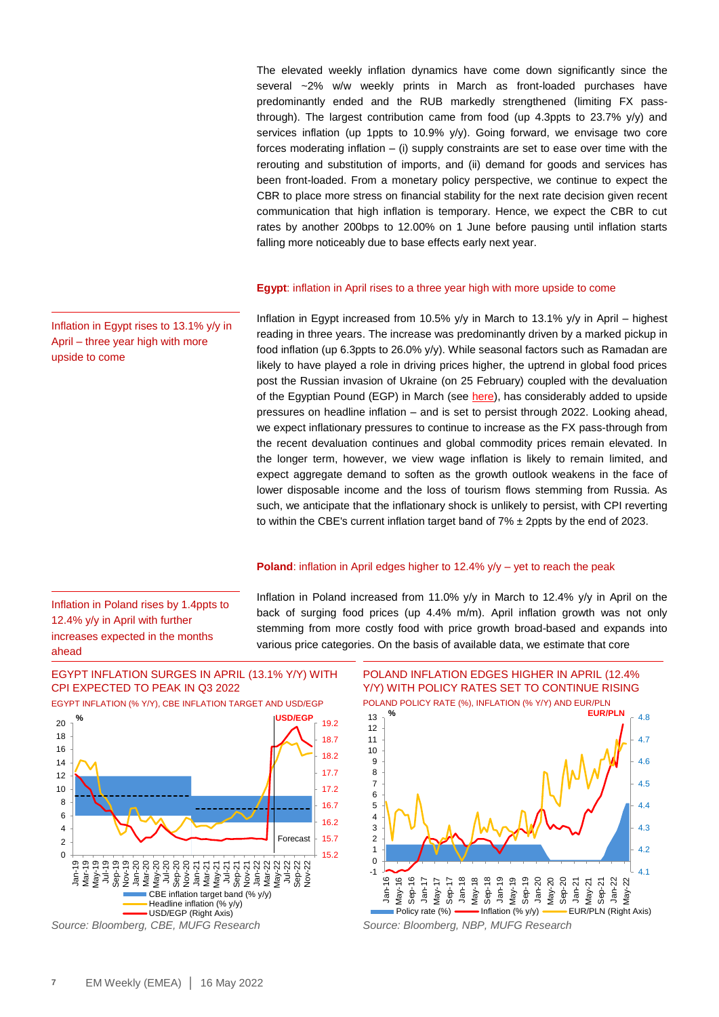The elevated weekly inflation dynamics have come down significantly since the several ~2% w/w weekly prints in March as front-loaded purchases have predominantly ended and the RUB markedly strengthened (limiting FX passthrough). The largest contribution came from food (up 4.3ppts to  $23.7\%$  y/y) and services inflation (up 1ppts to 10.9% y/y). Going forward, we envisage two core forces moderating inflation  $-$  (i) supply constraints are set to ease over time with the rerouting and substitution of imports, and (ii) demand for goods and services has been front-loaded. From a monetary policy perspective, we continue to expect the CBR to place more stress on financial stability for the next rate decision given recent communication that high inflation is temporary. Hence, we expect the CBR to cut rates by another 200bps to 12.00% on 1 June before pausing until inflation starts falling more noticeably due to base effects early next year.

### **Egypt**: inflation in April rises to a three year high with more upside to come

Inflation in Egypt increased from 10.5%  $y/y$  in March to 13.1%  $y/y$  in April – highest reading in three years. The increase was predominantly driven by a marked pickup in food inflation (up 6.3ppts to 26.0% y/y). While seasonal factors such as Ramadan are likely to have played a role in driving prices higher, the uptrend in global food prices post the Russian invasion of Ukraine (on 25 February) coupled with the devaluation of the Egyptian Pound (EGP) in March (see [here\)](https://market-research.bk.mufg.jp/distribution/47769_ext_01_en_0.pdf), has considerably added to upside pressures on headline inflation – and is set to persist through 2022. Looking ahead, we expect inflationary pressures to continue to increase as the FX pass-through from the recent devaluation continues and global commodity prices remain elevated. In the longer term, however, we view wage inflation is likely to remain limited, and expect aggregate demand to soften as the growth outlook weakens in the face of lower disposable income and the loss of tourism flows stemming from Russia. As such, we anticipate that the inflationary shock is unlikely to persist, with CPI reverting to within the CBE's current inflation target band of  $7\% \pm 2$ ppts by the end of 2023.

### **Poland:** inflation in April edges higher to 12.4%  $y/y - yet$  to reach the peak

Inflation in Poland increased from 11.0% y/y in March to 12.4% y/y in April on the back of surging food prices (up 4.4% m/m). April inflation growth was not only stemming from more costly food with price growth broad-based and expands into various price categories. On the basis of available data, we estimate that core

EGYPT INFLATION SURGES IN APRIL (13.1% Y/Y) WITH CPI EXPECTED TO PEAK IN Q3 2022



*Source: Bloomberg, CBE, MUFG Research Source: Bloomberg, NBP, MUFG Research*

EGYPT INFLATION (% Y/Y), CBE INFLATION TARGET AND USD/EGP POLAND INFLATION EDGES HIGHER IN APRIL (12.4% Y/Y) WITH POLICY RATES SET TO CONTINUE RISING



Inflation in Egypt rises to 13.1% y/y in April – three year high with more upside to come

Inflation in Poland rises by 1.4ppts to 12.4% y/y in April with further increases expected in the months

ahead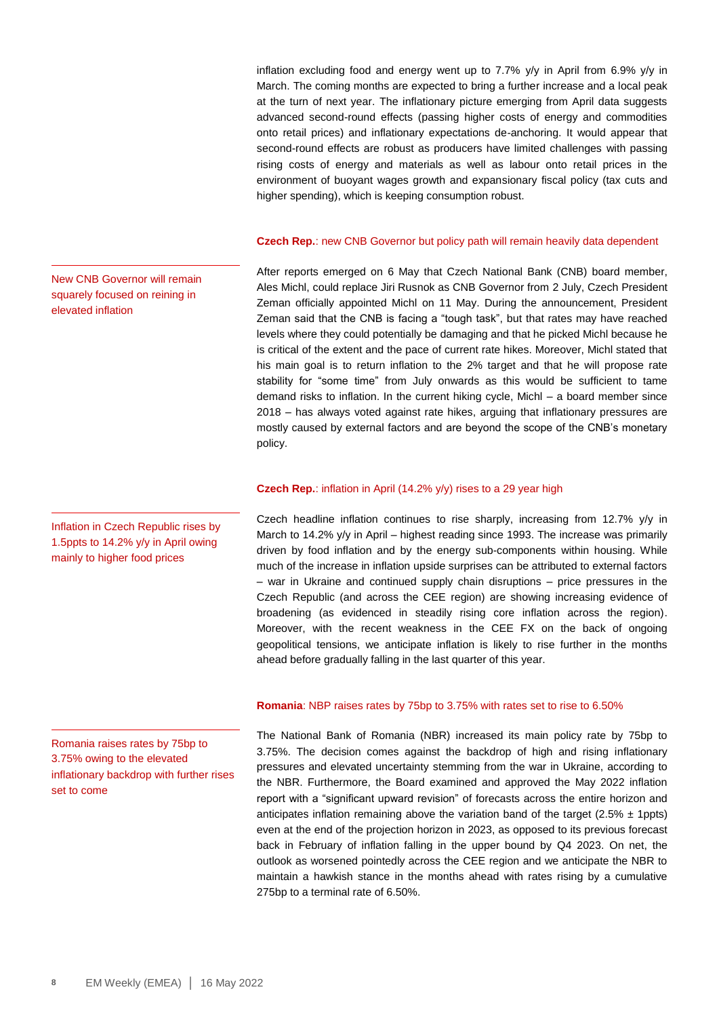inflation excluding food and energy went up to 7.7% y/y in April from 6.9% y/y in March. The coming months are expected to bring a further increase and a local peak at the turn of next year. The inflationary picture emerging from April data suggests advanced second-round effects (passing higher costs of energy and commodities onto retail prices) and inflationary expectations de-anchoring. It would appear that second-round effects are robust as producers have limited challenges with passing rising costs of energy and materials as well as labour onto retail prices in the environment of buoyant wages growth and expansionary fiscal policy (tax cuts and higher spending), which is keeping consumption robust.

### **Czech Rep.**: new CNB Governor but policy path will remain heavily data dependent

After reports emerged on 6 May that Czech National Bank (CNB) board member, Ales Michl, could replace Jiri Rusnok as CNB Governor from 2 July, Czech President Zeman officially appointed Michl on 11 May. During the announcement, President Zeman said that the CNB is facing a "tough task", but that rates may have reached levels where they could potentially be damaging and that he picked Michl because he is critical of the extent and the pace of current rate hikes. Moreover, Michl stated that his main goal is to return inflation to the 2% target and that he will propose rate stability for "some time" from July onwards as this would be sufficient to tame demand risks to inflation. In the current hiking cycle, Michl – a board member since 2018 – has always voted against rate hikes, arguing that inflationary pressures are mostly caused by external factors and are beyond the scope of the CNB's monetary policy.

### **Czech Rep.**: inflation in April (14.2% y/y) rises to a 29 year high

Czech headline inflation continues to rise sharply, increasing from 12.7% y/y in March to 14.2% y/y in April – highest reading since 1993. The increase was primarily driven by food inflation and by the energy sub-components within housing. While much of the increase in inflation upside surprises can be attributed to external factors – war in Ukraine and continued supply chain disruptions – price pressures in the Czech Republic (and across the CEE region) are showing increasing evidence of broadening (as evidenced in steadily rising core inflation across the region). Moreover, with the recent weakness in the CEE FX on the back of ongoing geopolitical tensions, we anticipate inflation is likely to rise further in the months ahead before gradually falling in the last quarter of this year.

### **Romania**: NBP raises rates by 75bp to 3.75% with rates set to rise to 6.50%

The National Bank of Romania (NBR) increased its main policy rate by 75bp to 3.75%. The decision comes against the backdrop of high and rising inflationary pressures and elevated uncertainty stemming from the war in Ukraine, according to the NBR. Furthermore, the Board examined and approved the May 2022 inflation report with a "significant upward revision" of forecasts across the entire horizon and anticipates inflation remaining above the variation band of the target (2.5%  $\pm$  1ppts) even at the end of the projection horizon in 2023, as opposed to its previous forecast back in February of inflation falling in the upper bound by Q4 2023. On net, the outlook as worsened pointedly across the CEE region and we anticipate the NBR to maintain a hawkish stance in the months ahead with rates rising by a cumulative 275bp to a terminal rate of 6.50%.

New CNB Governor will remain squarely focused on reining in elevated inflation

Inflation in Czech Republic rises by 1.5ppts to 14.2% y/y in April owing mainly to higher food prices

Romania raises rates by 75bp to 3.75% owing to the elevated inflationary backdrop with further rises set to come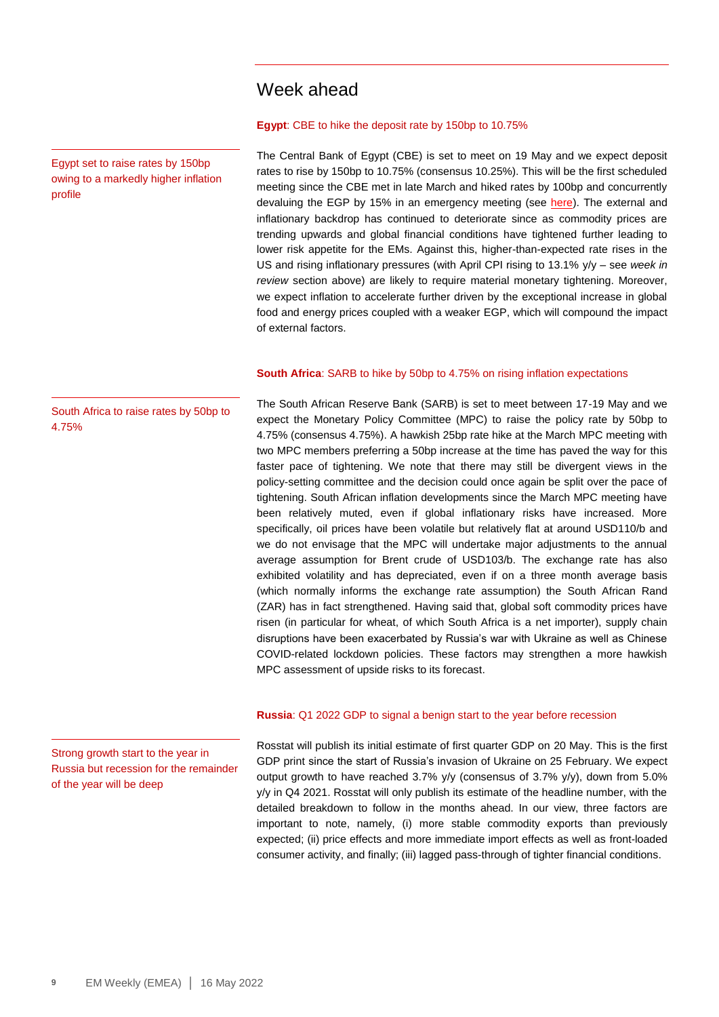### Week ahead

### **Egypt**: CBE to hike the deposit rate by 150bp to 10.75%

The Central Bank of Egypt (CBE) is set to meet on 19 May and we expect deposit rates to rise by 150bp to 10.75% (consensus 10.25%). This will be the first scheduled meeting since the CBE met in late March and hiked rates by 100bp and concurrently devaluing the EGP by 15% in an emergency meeting (see [here\)](https://market-research.bk.mufg.jp/distribution/47769_ext_01_en_0.pdf). The external and inflationary backdrop has continued to deteriorate since as commodity prices are trending upwards and global financial conditions have tightened further leading to lower risk appetite for the EMs. Against this, higher-than-expected rate rises in the US and rising inflationary pressures (with April CPI rising to 13.1% y/y – see *week in review* section above) are likely to require material monetary tightening. Moreover, we expect inflation to accelerate further driven by the exceptional increase in global food and energy prices coupled with a weaker EGP, which will compound the impact of external factors.

#### **South Africa**: SARB to hike by 50bp to 4.75% on rising inflation expectations

The South African Reserve Bank (SARB) is set to meet between 17-19 May and we expect the Monetary Policy Committee (MPC) to raise the policy rate by 50bp to 4.75% (consensus 4.75%). A hawkish 25bp rate hike at the March MPC meeting with two MPC members preferring a 50bp increase at the time has paved the way for this faster pace of tightening. We note that there may still be divergent views in the policy-setting committee and the decision could once again be split over the pace of tightening. South African inflation developments since the March MPC meeting have been relatively muted, even if global inflationary risks have increased. More specifically, oil prices have been volatile but relatively flat at around USD110/b and we do not envisage that the MPC will undertake major adjustments to the annual average assumption for Brent crude of USD103/b. The exchange rate has also exhibited volatility and has depreciated, even if on a three month average basis (which normally informs the exchange rate assumption) the South African Rand (ZAR) has in fact strengthened. Having said that, global soft commodity prices have risen (in particular for wheat, of which South Africa is a net importer), supply chain disruptions have been exacerbated by Russia's war with Ukraine as well as Chinese COVID-related lockdown policies. These factors may strengthen a more hawkish MPC assessment of upside risks to its forecast.

#### **Russia**: Q1 2022 GDP to signal a benign start to the year before recession

Rosstat will publish its initial estimate of first quarter GDP on 20 May. This is the first GDP print since the start of Russia's invasion of Ukraine on 25 February. We expect output growth to have reached 3.7% y/y (consensus of 3.7% y/y), down from 5.0% y/y in Q4 2021. Rosstat will only publish its estimate of the headline number, with the detailed breakdown to follow in the months ahead. In our view, three factors are important to note, namely, (i) more stable commodity exports than previously expected; (ii) price effects and more immediate import effects as well as front-loaded consumer activity, and finally; (iii) lagged pass-through of tighter financial conditions.

South Africa to raise rates by 50bp to 4.75%

Egypt set to raise rates by 150bp owing to a markedly higher inflation

profile

Strong growth start to the year in Russia but recession for the remainder of the year will be deep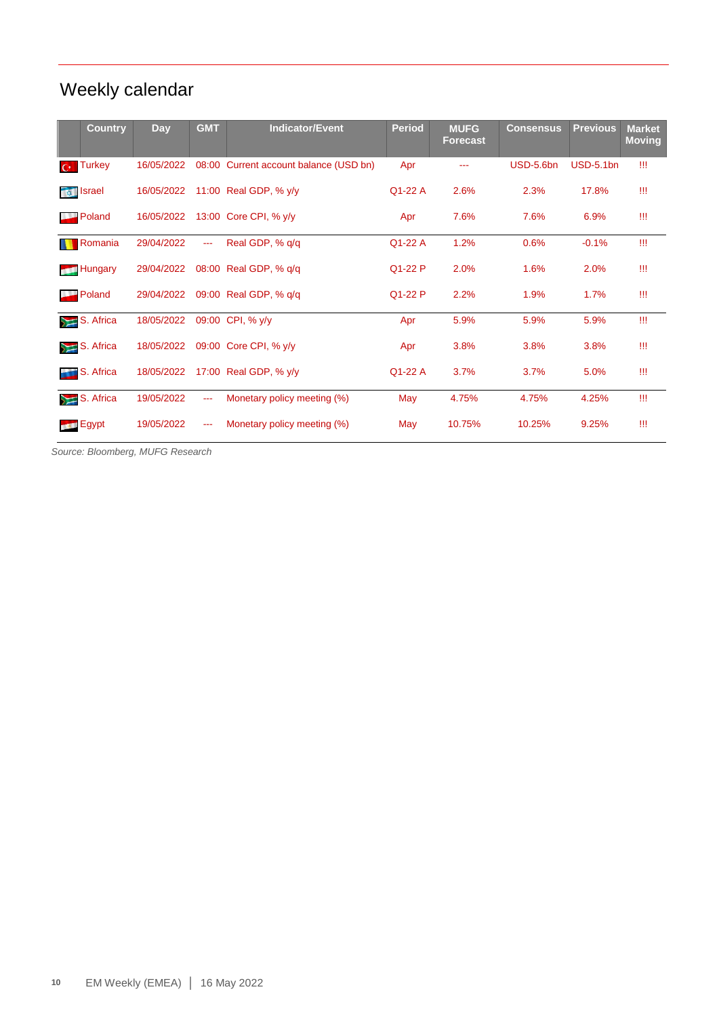# Weekly calendar

|                          | <b>Country</b>   | Day        | <b>GMT</b>    | <b>Indicator/Event</b>           | <b>Period</b> | <b>MUFG</b><br>Forecast | <b>Consensus</b> | <b>Previous</b> | <b>Market</b><br><b>Moving</b> |
|--------------------------|------------------|------------|---------------|----------------------------------|---------------|-------------------------|------------------|-----------------|--------------------------------|
| $C^{*-}$                 | <b>Turkey</b>    | 16/05/2022 | 08:00         | Current account balance (USD bn) | Apr           |                         | USD-5.6bn        | $USD-5.1bn$     | Ш                              |
|                          | <b>To Israel</b> | 16/05/2022 |               | 11:00 Real GDP, % y/y            | Q1-22 A       | 2.6%                    | 2.3%             | 17.8%           | Ш                              |
| $\overline{\phantom{a}}$ | Poland           | 16/05/2022 |               | 13:00 Core CPI, % y/y            | Apr           | 7.6%                    | 7.6%             | 6.9%            | Ш                              |
|                          | Romania          | 29/04/2022 | $\sim$ $\sim$ | Real GDP, % q/q                  | Q1-22 A       | 1.2%                    | 0.6%             | $-0.1%$         | Ш                              |
|                          | <b>Hungary</b>   | 29/04/2022 |               | 08:00 Real GDP, % q/q            | Q1-22 P       | 2.0%                    | 1.6%             | 2.0%            | Ш                              |
|                          | Poland           | 29/04/2022 |               | 09:00 Real GDP, % g/g            | Q1-22 P       | 2.2%                    | 1.9%             | 1.7%            | Ш                              |
|                          | $S.$ Africa      | 18/05/2022 |               | 09:00 CPI, % y/y                 | Apr           | 5.9%                    | 5.9%             | 5.9%            | Ш                              |
|                          | $S.$ Africa      | 18/05/2022 |               | 09:00 Core CPI, % y/y            | Apr           | 3.8%                    | 3.8%             | 3.8%            | Ш                              |
|                          | S. Africa        | 18/05/2022 |               | 17:00 Real GDP, % y/y            | Q1-22 A       | 3.7%                    | 3.7%             | 5.0%            | Ш                              |
|                          | $S.$ Africa      | 19/05/2022 | $\frac{1}{2}$ | Monetary policy meeting (%)      | May           | 4.75%                   | 4.75%            | 4.25%           | Ш                              |
|                          | <b>Egypt</b>     | 19/05/2022 | $\cdots$      | Monetary policy meeting (%)      | May           | 10.75%                  | 10.25%           | 9.25%           | Ш                              |

*Source: Bloomberg, MUFG Research*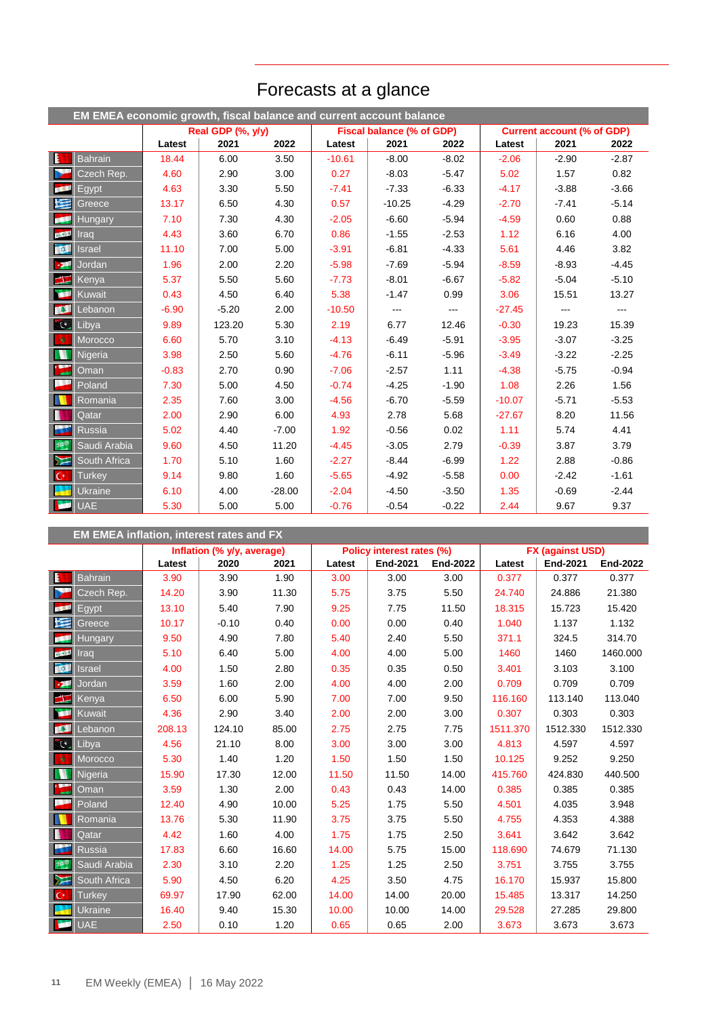|                   | EM EMEA economic growth, fiscal balance and current account balance |         |                   |          |          |                           |         |          |                                   |         |
|-------------------|---------------------------------------------------------------------|---------|-------------------|----------|----------|---------------------------|---------|----------|-----------------------------------|---------|
|                   |                                                                     |         | Real GDP (%, y/y) |          |          | Fiscal balance (% of GDP) |         |          | <b>Current account (% of GDP)</b> |         |
|                   |                                                                     | Latest  | 2021              | 2022     | Latest   | 2021                      | 2022    | Latest   | 2021                              | 2022    |
| $\mathbf{E}$      | <b>Bahrain</b>                                                      | 18.44   | 6.00              | 3.50     | $-10.61$ | $-8.00$                   | $-8.02$ | $-2.06$  | $-2.90$                           | $-2.87$ |
| Ь                 | Czech Rep.                                                          | 4.60    | 2.90              | 3.00     | 0.27     | $-8.03$                   | $-5.47$ | 5.02     | 1.57                              | 0.82    |
| <b>DECK</b>       | Egypt                                                               | 4.63    | 3.30              | 5.50     | $-7.41$  | $-7.33$                   | $-6.33$ | $-4.17$  | $-3.88$                           | $-3.66$ |
| 医                 | <b>Greece</b>                                                       | 13.17   | 6.50              | 4.30     | 0.57     | $-10.25$                  | $-4.29$ | $-2.70$  | $-7.41$                           | $-5.14$ |
| œ                 | <b>Hungary</b>                                                      | 7.10    | 7.30              | 4.30     | $-2.05$  | $-6.60$                   | $-5.94$ | $-4.59$  | 0.60                              | 0.88    |
| <b>CONTRACTOR</b> | Irad                                                                | 4.43    | 3.60              | 6.70     | 0.86     | $-1.55$                   | $-2.53$ | 1.12     | 6.16                              | 4.00    |
| 改革                | <b>Israel</b>                                                       | 11.10   | 7.00              | 5.00     | $-3.91$  | $-6.81$                   | $-4.33$ | 5.61     | 4.46                              | 3.82    |
| $\mathbf{z}$      | Jordan                                                              | 1.96    | 2.00              | 2.20     | $-5.98$  | $-7.69$                   | $-5.94$ | $-8.59$  | $-8.93$                           | $-4.45$ |
| $\blacktriangle$  | <b>Kenya</b>                                                        | 5.37    | 5.50              | 5.60     | $-7.73$  | $-8.01$                   | $-6.67$ | $-5.82$  | $-5.04$                           | $-5.10$ |
| <b>DOM:</b>       | Kuwait                                                              | 0.43    | 4.50              | 6.40     | 5.38     | $-1.47$                   | 0.99    | 3.06     | 15.51                             | 13.27   |
| <b>BEE</b>        | Lebanon                                                             | $-6.90$ | $-5.20$           | 2.00     | $-10.50$ | ---                       | $- - -$ | $-27.45$ | $---$                             | ---     |
| $\mathbb{C}$      | Libya                                                               | 9.89    | 123.20            | 5.30     | 2.19     | 6.77                      | 12.46   | $-0.30$  | 19.23                             | 15.39   |
| 收                 | Morocco                                                             | 6.60    | 5.70              | 3.10     | $-4.13$  | $-6.49$                   | $-5.91$ | $-3.95$  | $-3.07$                           | $-3.25$ |
| N                 | Nigeria                                                             | 3.98    | 2.50              | 5.60     | $-4.76$  | $-6.11$                   | $-5.96$ | $-3.49$  | $-3.22$                           | $-2.25$ |
| F                 | Oman                                                                | $-0.83$ | 2.70              | 0.90     | $-7.06$  | $-2.57$                   | 1.11    | $-4.38$  | $-5.75$                           | $-0.94$ |
| E                 | Poland                                                              | 7.30    | 5.00              | 4.50     | $-0.74$  | $-4.25$                   | $-1.90$ | 1.08     | 2.26                              | 1.56    |
| N                 | Romania                                                             | 2.35    | 7.60              | 3.00     | $-4.56$  | $-6.70$                   | $-5.59$ | $-10.07$ | $-5.71$                           | $-5.53$ |
| B                 | Qatar                                                               | 2.00    | 2.90              | 6.00     | 4.93     | 2.78                      | 5.68    | $-27.67$ | 8.20                              | 11.56   |
| a.                | <b>Russia</b>                                                       | 5.02    | 4.40              | $-7.00$  | 1.92     | $-0.56$                   | 0.02    | 1.11     | 5.74                              | 4.41    |
| 機                 | Saudi Arabia                                                        | 9.60    | 4.50              | 11.20    | $-4.45$  | $-3.05$                   | 2.79    | $-0.39$  | 3.87                              | 3.79    |
| $\sum$            | South Africa                                                        | 1.70    | 5.10              | 1.60     | $-2.27$  | $-8.44$                   | $-6.99$ | 1.22     | 2.88                              | $-0.86$ |
| $ C^* $           | <b>Turkey</b>                                                       | 9.14    | 9.80              | 1.60     | $-5.65$  | $-4.92$                   | $-5.58$ | 0.00     | $-2.42$                           | $-1.61$ |
| ÷                 | Ukraine                                                             | 6.10    | 4.00              | $-28.00$ | $-2.04$  | $-4.50$                   | $-3.50$ | 1.35     | $-0.69$                           | $-2.44$ |
| اقي               | <b>UAE</b>                                                          | 5.30    | 5.00              | 5.00     | $-0.76$  | $-0.54$                   | $-0.22$ | 2.44     | 9.67                              | 9.37    |

# Forecasts at a glance

|                         | <b>EM EMEA inflation, interest rates and FX</b> |        |                            |       |        |                           |                 |                  |                 |                 |  |
|-------------------------|-------------------------------------------------|--------|----------------------------|-------|--------|---------------------------|-----------------|------------------|-----------------|-----------------|--|
|                         |                                                 |        | Inflation (% y/y, average) |       |        | Policy interest rates (%) |                 | FX (against USD) |                 |                 |  |
|                         |                                                 | Latest | 2020                       | 2021  | Latest | <b>End-2021</b>           | <b>End-2022</b> | Latest           | <b>End-2021</b> | <b>End-2022</b> |  |
| $\overline{\mathbf{E}}$ | <b>Bahrain</b>                                  | 3.90   | 3.90                       | 1.90  | 3.00   | 3.00                      | 3.00            | 0.377            | 0.377           | 0.377           |  |
|                         | Czech Rep.                                      | 14.20  | 3.90                       | 11.30 | 5.75   | 3.75                      | 5.50            | 24.740           | 24.886          | 21.380          |  |
| <b>POL</b>              | Egypt                                           | 13.10  | 5.40                       | 7.90  | 9.25   | 7.75                      | 11.50           | 18.315           | 15.723          | 15.420          |  |
| 医                       | Greece                                          | 10.17  | $-0.10$                    | 0.40  | 0.00   | 0.00                      | 0.40            | 1.040            | 1.137           | 1.132           |  |
| œ                       | <b>Hungary</b>                                  | 9.50   | 4.90                       | 7.80  | 5.40   | 2.40                      | 5.50            | 371.1            | 324.5           | 314.70          |  |
| <b>DOM:</b>             | Irad                                            | 5.10   | 6.40                       | 5.00  | 4.00   | 4.00                      | 5.00            | 1460             | 1460            | 1460.000        |  |
| $\sqrt{2}$              | Israel                                          | 4.00   | 1.50                       | 2.80  | 0.35   | 0.35                      | 0.50            | 3.401            | 3.103           | 3.100           |  |
| <b>D</b>                | Jordan                                          | 3.59   | 1.60                       | 2.00  | 4.00   | 4.00                      | 2.00            | 0.709            | 0.709           | 0.709           |  |
| H                       | Kenya                                           | 6.50   | 6.00                       | 5.90  | 7.00   | 7.00                      | 9.50            | 116.160          | 113.140         | 113.040         |  |
| <b>PORT</b>             | Kuwait                                          | 4.36   | 2.90                       | 3.40  | 2.00   | 2.00                      | 3.00            | 0.307            | 0.303           | 0.303           |  |
| <b>INST</b>             | Lebanon                                         | 208.13 | 124.10                     | 85.00 | 2.75   | 2.75                      | 7.75            | 1511.370         | 1512.330        | 1512.330        |  |
| $\mathbb{R}$            | Libya                                           | 4.56   | 21.10                      | 8.00  | 3.00   | 3.00                      | 3.00            | 4.813            | 4.597           | 4.597           |  |
| 女                       | Morocco                                         | 5.30   | 1.40                       | 1.20  | 1.50   | 1.50                      | 1.50            | 10.125           | 9.252           | 9.250           |  |
| W                       | Nigeria                                         | 15.90  | 17.30                      | 12.00 | 11.50  | 11.50                     | 14.00           | 415.760          | 424.830         | 440.500         |  |
|                         | Oman                                            | 3.59   | 1.30                       | 2.00  | 0.43   | 0.43                      | 14.00           | 0.385            | 0.385           | 0.385           |  |
|                         | Poland                                          | 12.40  | 4.90                       | 10.00 | 5.25   | 1.75                      | 5.50            | 4.501            | 4.035           | 3.948           |  |
|                         | Romania                                         | 13.76  | 5.30                       | 11.90 | 3.75   | 3.75                      | 5.50            | 4.755            | 4.353           | 4.388           |  |
| ı                       | Qatar                                           | 4.42   | 1.60                       | 4.00  | 1.75   | 1.75                      | 2.50            | 3.641            | 3.642           | 3.642           |  |
|                         | <b>Russia</b>                                   | 17.83  | 6.60                       | 16.60 | 14.00  | 5.75                      | 15.00           | 118.690          | 74.679          | 71.130          |  |
| 接                       | Saudi Arabia                                    | 2.30   | 3.10                       | 2.20  | 1.25   | 1.25                      | 2.50            | 3.751            | 3.755           | 3.755           |  |
| $\sum$                  | South Africa                                    | 5.90   | 4.50                       | 6.20  | 4.25   | 3.50                      | 4.75            | 16.170           | 15.937          | 15.800          |  |
| $\mathsf{C}^*$          | <b>Turkey</b>                                   | 69.97  | 17.90                      | 62.00 | 14.00  | 14.00                     | 20.00           | 15.485           | 13.317          | 14.250          |  |
|                         | <b>Ukraine</b>                                  | 16.40  | 9.40                       | 15.30 | 10.00  | 10.00                     | 14.00           | 29.528           | 27.285          | 29.800          |  |
| <b>Septiment</b>        | <b>UAE</b>                                      | 2.50   | 0.10                       | 1.20  | 0.65   | 0.65                      | 2.00            | 3.673            | 3.673           | 3.673           |  |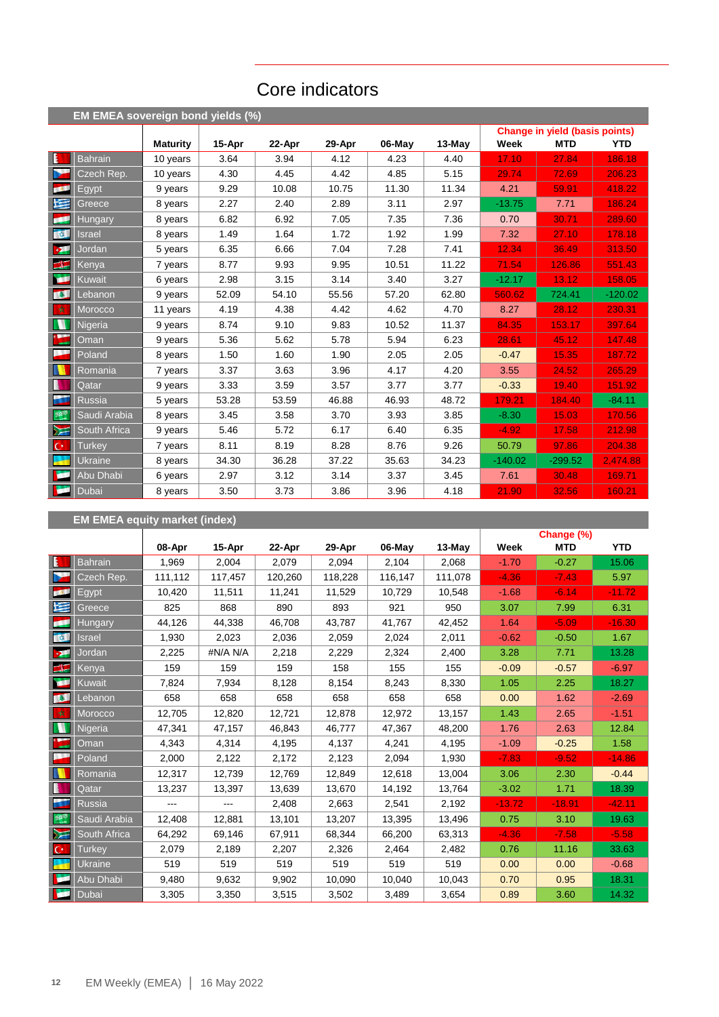# Core indicators

|                               | EM EMEA sovereign bond yields (%) |                 |        |        |        |        |          |           |                                       |            |
|-------------------------------|-----------------------------------|-----------------|--------|--------|--------|--------|----------|-----------|---------------------------------------|------------|
|                               |                                   |                 |        |        |        |        |          |           | <b>Change in yield (basis points)</b> |            |
|                               |                                   | <b>Maturity</b> | 15-Apr | 22-Apr | 29-Apr | 06-May | $13-May$ | Week      | <b>MTD</b>                            | <b>YTD</b> |
| Ŀ                             | <b>Bahrain</b>                    | 10 years        | 3.64   | 3.94   | 4.12   | 4.23   | 4.40     | 17.10     | 27.84                                 | 186.18     |
| b.                            | Czech Rep.                        | 10 years        | 4.30   | 4.45   | 4.42   | 4.85   | 5.15     | 29.74     | 72.69                                 | 206.23     |
| <b>COL</b>                    | Egypt                             | 9 years         | 9.29   | 10.08  | 10.75  | 11.30  | 11.34    | 4.21      | 59.91                                 | 418.22     |
| 医                             | Greece                            | 8 years         | 2.27   | 2.40   | 2.89   | 3.11   | 2.97     | $-13.75$  | 7.71                                  | 186.24     |
| ø                             | <b>Hungary</b>                    | 8 years         | 6.82   | 6.92   | 7.05   | 7.35   | 7.36     | 0.70      | 30.71                                 | 289.60     |
| <b>ON</b>                     | <b>Israel</b>                     | 8 years         | 1.49   | 1.64   | 1.72   | 1.92   | 1.99     | 7.32      | 27.10                                 | 178.18     |
| <b>D</b>                      | Jordan                            | 5 years         | 6.35   | 6.66   | 7.04   | 7.28   | 7.41     | 12.34     | 36.49                                 | 313.50     |
| $\blacktriangleleft$ $\equiv$ | Kenya                             | 7 years         | 8.77   | 9.93   | 9.95   | 10.51  | 11.22    | 71.54     | 126.86                                | 551.43     |
| <b>ISBN</b>                   | Kuwait                            | 6 years         | 2.98   | 3.15   | 3.14   | 3.40   | 3.27     | $-12.17$  | 13.12                                 | 158.05     |
| <b>TAL</b>                    | Lebanon                           | 9 years         | 52.09  | 54.10  | 55.56  | 57.20  | 62.80    | 560.62    | 724.41                                | $-120.02$  |
| 收                             | Morocco                           | 11 years        | 4.19   | 4.38   | 4.42   | 4.62   | 4.70     | 8.27      | 28.12                                 | 230.31     |
| N                             | <b>Nigeria</b>                    | 9 years         | 8.74   | 9.10   | 9.83   | 10.52  | 11.37    | 84.35     | 153.17                                | 397.64     |
|                               | Oman                              | 9 years         | 5.36   | 5.62   | 5.78   | 5.94   | 6.23     | 28.61     | 45.12                                 | 147.48     |
| ш                             | Poland                            | 8 years         | 1.50   | 1.60   | 1.90   | 2.05   | 2.05     | $-0.47$   | 15.35                                 | 187.72     |
|                               | Romania                           | 7 years         | 3.37   | 3.63   | 3.96   | 4.17   | 4.20     | 3.55      | 24.52                                 | 265.29     |
| B                             | Qatar                             | 9 years         | 3.33   | 3.59   | 3.57   | 3.77   | 3.77     | $-0.33$   | 19.40                                 | 151.92     |
| <b>PS</b>                     | <b>Russia</b>                     | 5 years         | 53.28  | 53.59  | 46.88  | 46.93  | 48.72    | 179.21    | 184.40                                | $-84.11$   |
| 舞                             | Saudi Arabia                      | 8 years         | 3.45   | 3.58   | 3.70   | 3.93   | 3.85     | $-8.30$   | 15.03                                 | 170.56     |
| ⋝⋶                            | South Africa                      | 9 years         | 5.46   | 5.72   | 6.17   | 6.40   | 6.35     | $-4.92$   | 17.58                                 | 212.98     |
| $ C^* $                       | <b>Turkey</b>                     | 7 years         | 8.11   | 8.19   | 8.28   | 8.76   | 9.26     | 50.79     | 97.86                                 | 204.38     |
|                               | <b>Ukraine</b>                    | 8 years         | 34.30  | 36.28  | 37.22  | 35.63  | 34.23    | $-140.02$ | $-299.52$                             | 2,474.88   |
| <b>Test</b>                   | Abu Dhabi                         | 6 years         | 2.97   | 3.12   | 3.14   | 3.37   | 3.45     | 7.61      | 30.48                                 | 169.71     |
| w                             | Dubai                             | 8 years         | 3.50   | 3.73   | 3.86   | 3.96   | 4.18     | 21.90     | 32.56                                 | 160.21     |

# **EM EMEA equity market (index)**

|                  |                |         |          |         |         |         |         |          | Change (%) |            |
|------------------|----------------|---------|----------|---------|---------|---------|---------|----------|------------|------------|
|                  |                | 08-Apr  | 15-Apr   | 22-Apr  | 29-Apr  | 06-May  | 13-May  | Week     | <b>MTD</b> | <b>YTD</b> |
| E                | <b>Bahrain</b> | 1,969   | 2,004    | 2,079   | 2,094   | 2,104   | 2,068   | $-1.70$  | $-0.27$    | 15.06      |
| ×                | Czech Rep.     | 111,112 | 117,457  | 120,260 | 118,228 | 116,147 | 111,078 | $-4.36$  | $-7.43$    | 5.97       |
| <b>COL</b>       | Egypt          | 10,420  | 11,511   | 11,241  | 11,529  | 10,729  | 10,548  | $-1.68$  | $-6.14$    | $-11.72$   |
| 墿                | Greece         | 825     | 868      | 890     | 893     | 921     | 950     | 3.07     | 7.99       | 6.31       |
| pa 1             | <b>Hungary</b> | 44,126  | 44,338   | 46,708  | 43,787  | 41,767  | 42,452  | 1.64     | $-5.09$    | $-16.30$   |
| <b>Total</b>     | Israel         | 1,930   | 2,023    | 2,036   | 2,059   | 2,024   | 2,011   | $-0.62$  | $-0.50$    | 1.67       |
| $\mathbf{v}$     | Jordan         | 2,225   | #N/A N/A | 2,218   | 2,229   | 2,324   | 2,400   | 3.28     | 7.71       | 13.28      |
| H                | Kenya          | 159     | 159      | 159     | 158     | 155     | 155     | $-0.09$  | $-0.57$    | $-6.97$    |
| <b>A</b>         | Kuwait         | 7,824   | 7,934    | 8,128   | 8,154   | 8,243   | 8,330   | 1.05     | 2.25       | 18.27      |
| <b>ALC</b>       | Lebanon        | 658     | 658      | 658     | 658     | 658     | 658     | 0.00     | 1.62       | $-2.69$    |
| 女                | Morocco        | 12,705  | 12,820   | 12,721  | 12,878  | 12,972  | 13,157  | 1.43     | 2.65       | $-1.51$    |
| n                | Nigeria        | 47,341  | 47,157   | 46,843  | 46,777  | 47,367  | 48,200  | 1.76     | 2.63       | 12.84      |
| $\sum_{i=1}^{n}$ | Oman           | 4,343   | 4,314    | 4,195   | 4,137   | 4,241   | 4,195   | $-1.09$  | $-0.25$    | 1.58       |
| l,               | Poland         | 2,000   | 2,122    | 2,172   | 2,123   | 2,094   | 1,930   | $-7.83$  | $-9.52$    | $-14.86$   |
|                  | Romania        | 12,317  | 12,739   | 12,769  | 12,849  | 12,618  | 13,004  | 3.06     | 2.30       | $-0.44$    |
| B                | Qatar          | 13,237  | 13,397   | 13,639  | 13,670  | 14,192  | 13,764  | $-3.02$  | 1.71       | 18.39      |
| 41               | <b>Russia</b>  |         |          | 2,408   | 2,663   | 2,541   | 2,192   | $-13.72$ | $-18.91$   | $-42.11$   |
| 選                | Saudi Arabia   | 12,408  | 12,881   | 13,101  | 13,207  | 13,395  | 13,496  | 0.75     | 3.10       | 19.63      |
| M                | South Africa   | 64,292  | 69,146   | 67,911  | 68,344  | 66,200  | 63,313  | $-4.36$  | $-7.58$    | $-5.58$    |
| $\mathbf{C}^*$   | <b>Turkey</b>  | 2,079   | 2,189    | 2,207   | 2,326   | 2,464   | 2,482   | 0.76     | 11.16      | 33.63      |
|                  | <b>Ukraine</b> | 519     | 519      | 519     | 519     | 519     | 519     | 0.00     | 0.00       | $-0.68$    |
| ×                | Abu Dhabi      | 9,480   | 9,632    | 9,902   | 10,090  | 10,040  | 10,043  | 0.70     | 0.95       | 18.31      |
| ×                | Dubai          | 3,305   | 3,350    | 3,515   | 3,502   | 3,489   | 3,654   | 0.89     | 3.60       | 14.32      |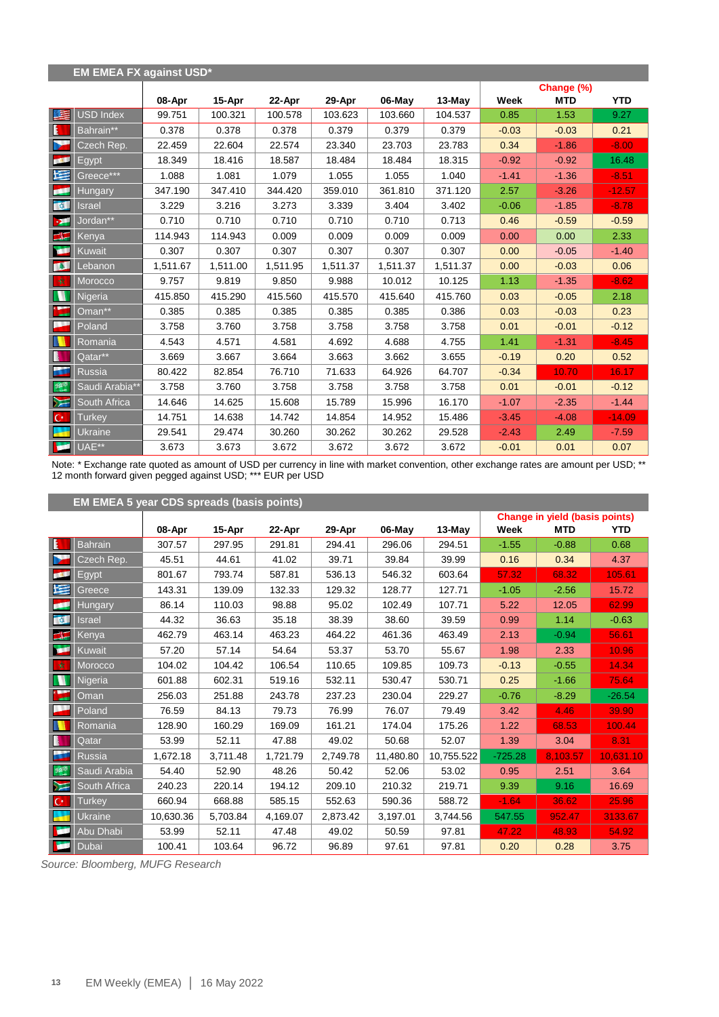|                  | <b>EM EMEA FX against USD*</b> |          |          |          |          |          |          |         |            |            |
|------------------|--------------------------------|----------|----------|----------|----------|----------|----------|---------|------------|------------|
|                  |                                |          |          |          |          |          |          |         | Change (%) |            |
|                  |                                | 08-Apr   | 15-Apr   | 22-Apr   | 29-Apr   | 06-May   | 13-May   | Week    | <b>MTD</b> | <b>YTD</b> |
| 医                | USD Index                      | 99.751   | 100.321  | 100.578  | 103.623  | 103.660  | 104.537  | 0.85    | 1.53       | 9.27       |
| E                | Bahrain**                      | 0.378    | 0.378    | 0.378    | 0.379    | 0.379    | 0.379    | $-0.03$ | $-0.03$    | 0.21       |
| N                | Czech Rep.                     | 22.459   | 22.604   | 22.574   | 23.340   | 23.703   | 23.783   | 0.34    | $-1.86$    | $-8.00$    |
| <b>BRA</b>       | Egypt                          | 18.349   | 18.416   | 18.587   | 18.484   | 18.484   | 18.315   | $-0.92$ | $-0.92$    | 16.48      |
| N                | Greece***                      | 1.088    | 1.081    | 1.079    | 1.055    | 1.055    | 1.040    | $-1.41$ | $-1.36$    | $-8.51$    |
| للجم             | <b>Hungary</b>                 | 347.190  | 347.410  | 344.420  | 359.010  | 361.810  | 371.120  | 2.57    | $-3.26$    | $-12.57$   |
| <b>REA</b>       | <b>Israel</b>                  | 3.229    | 3.216    | 3.273    | 3.339    | 3.404    | 3.402    | $-0.06$ | $-1.85$    | $-8.78$    |
| -94              | Jordan**                       | 0.710    | 0.710    | 0.710    | 0.710    | 0.710    | 0.713    | 0.46    | $-0.59$    | $-0.59$    |
| $\frac{1}{2}$    | Kenya                          | 114.943  | 114.943  | 0.009    | 0.009    | 0.009    | 0.009    | 0.00    | 0.00       | 2.33       |
| œ                | Kuwait                         | 0.307    | 0.307    | 0.307    | 0.307    | 0.307    | 0.307    | 0.00    | $-0.05$    | $-1.40$    |
| <b>TAL</b>       | Lebanon                        | 1,511.67 | 1,511.00 | 1,511.95 | 1,511.37 | 1,511.37 | 1,511.37 | 0.00    | $-0.03$    | 0.06       |
| 敦                | Morocco                        | 9.757    | 9.819    | 9.850    | 9.988    | 10.012   | 10.125   | 1.13    | $-1.35$    | $-8.62$    |
| M                | Nigeria                        | 415.850  | 415.290  | 415.560  | 415.570  | 415.640  | 415.760  | 0.03    | $-0.05$    | 2.18       |
| $\sum_{i=1}^{n}$ | Oman**                         | 0.385    | 0.385    | 0.385    | 0.385    | 0.385    | 0.386    | 0.03    | $-0.03$    | 0.23       |
| l,               | Poland                         | 3.758    | 3.760    | 3.758    | 3.758    | 3.758    | 3.758    | 0.01    | $-0.01$    | $-0.12$    |
|                  | Romania                        | 4.543    | 4.571    | 4.581    | 4.692    | 4.688    | 4.755    | 1.41    | $-1.31$    | $-8.45$    |
| N                | Qatar**                        | 3.669    | 3.667    | 3.664    | 3.663    | 3.662    | 3.655    | $-0.19$ | 0.20       | 0.52       |
| š.               | <b>Russia</b>                  | 80.422   | 82.854   | 76.710   | 71.633   | 64.926   | 64.707   | $-0.34$ | 10.70      | 16.17      |
| $+$              | Saudi Arabia**                 | 3.758    | 3.760    | 3.758    | 3.758    | 3.758    | 3.758    | 0.01    | $-0.01$    | $-0.12$    |
| $\sum$           | South Africa                   | 14.646   | 14.625   | 15.608   | 15.789   | 15.996   | 16.170   | $-1.07$ | $-2.35$    | $-1.44$    |
| $\mathbf{C}^*$   | <b>Turkey</b>                  | 14.751   | 14.638   | 14.742   | 14.854   | 14.952   | 15.486   | $-3.45$ | $-4.08$    | $-14.09$   |
| ÷                | Ukraine                        | 29.541   | 29.474   | 30.260   | 30.262   | 30.262   | 29.528   | $-2.43$ | 2.49       | $-7.59$    |
| ×                | UAE**                          | 3.673    | 3.673    | 3.672    | 3.672    | 3.672    | 3.672    | $-0.01$ | 0.01       | 0.07       |

Note: \* Exchange rate quoted as amount of USD per currency in line with market convention, other exchange rates are amount per USD; \*\* 12 month forward given pegged against USD; \*\*\* EUR per USD

|                | EM EMEA 5 year CDS spreads (basis points) |           |          |          |          |           |            |           |                                       |            |  |  |
|----------------|-------------------------------------------|-----------|----------|----------|----------|-----------|------------|-----------|---------------------------------------|------------|--|--|
|                |                                           |           |          |          |          |           |            |           | <b>Change in yield (basis points)</b> |            |  |  |
|                |                                           | 08-Apr    | 15-Apr   | 22-Apr   | 29-Apr   | 06-May    | 13-May     | Week      | <b>MTD</b>                            | <b>YTD</b> |  |  |
| <b>E</b>       | <b>Bahrain</b>                            | 307.57    | 297.95   | 291.81   | 294.41   | 296.06    | 294.51     | $-1.55$   | $-0.88$                               | 0.68       |  |  |
| D              | Czech Rep.                                | 45.51     | 44.61    | 41.02    | 39.71    | 39.84     | 39.99      | 0.16      | 0.34                                  | 4.37       |  |  |
| <b>BECK</b>    | Egypt                                     | 801.67    | 793.74   | 587.81   | 536.13   | 546.32    | 603.64     | 57.32     | 68.32                                 | 105.61     |  |  |
| M              | Greece                                    | 143.31    | 139.09   | 132.33   | 129.32   | 128.77    | 127.71     | $-1.05$   | $-2.56$                               | 15.72      |  |  |
| Œ              | <b>Hungary</b>                            | 86.14     | 110.03   | 98.88    | 95.02    | 102.49    | 107.71     | 5.22      | 12.05                                 | 62.99      |  |  |
| 车车             | Israel                                    | 44.32     | 36.63    | 35.18    | 38.39    | 38.60     | 39.59      | 0.99      | 1.14                                  | $-0.63$    |  |  |
| ≃              | Kenya                                     | 462.79    | 463.14   | 463.23   | 464.22   | 461.36    | 463.49     | 2.13      | $-0.94$                               | 56.61      |  |  |
| <b>ISLE</b>    | Kuwait                                    | 57.20     | 57.14    | 54.64    | 53.37    | 53.70     | 55.67      | 1.98      | 2.33                                  | 10.96      |  |  |
| 一议             | Morocco                                   | 104.02    | 104.42   | 106.54   | 110.65   | 109.85    | 109.73     | $-0.13$   | $-0.55$                               | 14.34      |  |  |
| W              | Nigeria                                   | 601.88    | 602.31   | 519.16   | 532.11   | 530.47    | 530.71     | 0.25      | $-1.66$                               | 75.64      |  |  |
|                | Oman                                      | 256.03    | 251.88   | 243.78   | 237.23   | 230.04    | 229.27     | $-0.76$   | $-8.29$                               | $-26.54$   |  |  |
|                | Poland                                    | 76.59     | 84.13    | 79.73    | 76.99    | 76.07     | 79.49      | 3.42      | 4.46                                  | 39.90      |  |  |
|                | Romania                                   | 128.90    | 160.29   | 169.09   | 161.21   | 174.04    | 175.26     | 1.22      | 68.53                                 | 100.44     |  |  |
| B              | Qatar                                     | 53.99     | 52.11    | 47.88    | 49.02    | 50.68     | 52.07      | 1.39      | 3.04                                  | 8.31       |  |  |
| ш              | <b>Russia</b>                             | 1,672.18  | 3,711.48 | 1,721.79 | 2,749.78 | 11,480.80 | 10,755.522 | $-725.28$ | 8,103.57                              | 10,631.10  |  |  |
| $+35$          | Saudi Arabia                              | 54.40     | 52.90    | 48.26    | 50.42    | 52.06     | 53.02      | 0.95      | 2.51                                  | 3.64       |  |  |
| $\sum$         | South Africa                              | 240.23    | 220.14   | 194.12   | 209.10   | 210.32    | 219.71     | 9.39      | 9.16                                  | 16.69      |  |  |
| $\mathbf{C}^*$ | <b>Turkey</b>                             | 660.94    | 668.88   | 585.15   | 552.63   | 590.36    | 588.72     | $-1.64$   | 36.62                                 | 25.96      |  |  |
|                | Ukraine                                   | 10,630.36 | 5,703.84 | 4,169.07 | 2,873.42 | 3,197.01  | 3,744.56   | 547.55    | 952.47                                | 3133.67    |  |  |
|                | Abu Dhabi                                 | 53.99     | 52.11    | 47.48    | 49.02    | 50.59     | 97.81      | 47.22     | 48.93                                 | 54.92      |  |  |
| <b>Base</b>    | Dubai                                     | 100.41    | 103.64   | 96.72    | 96.89    | 97.61     | 97.81      | 0.20      | 0.28                                  | 3.75       |  |  |

*Source: Bloomberg, MUFG Research*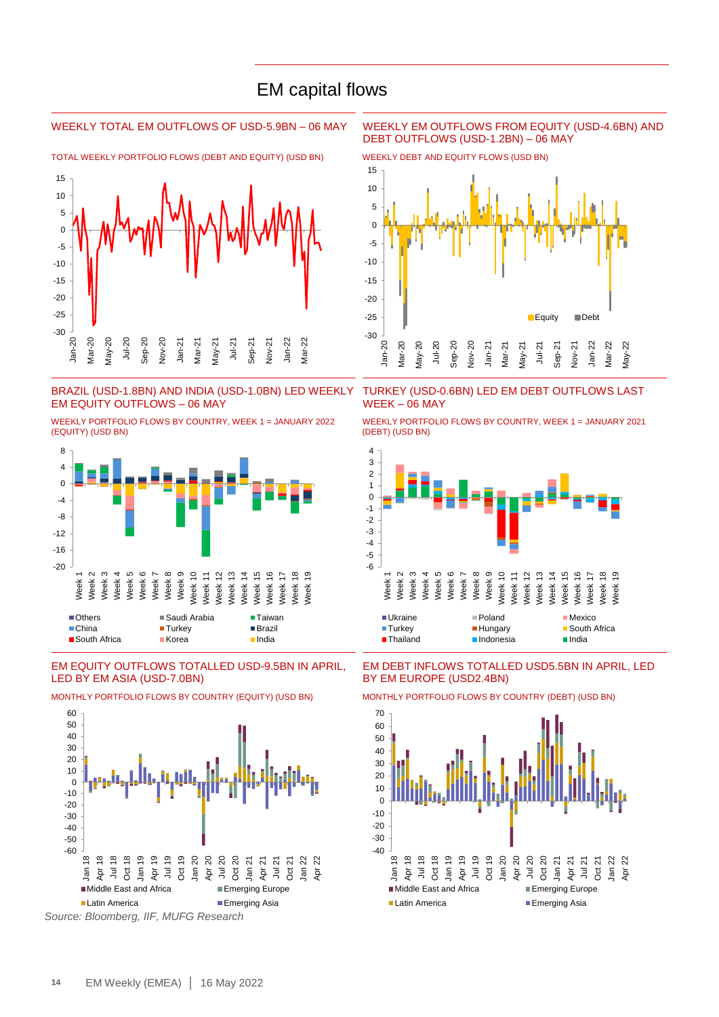## EM capital flows

TOTAL WEEKLY PORTFOLIO FLOWS (DEBT AND EQUITY) (USD BN) WEEKLY DEBT AND EQUITY FLOWS (USD BN)



### BRAZIL (USD-1.8BN) AND INDIA (USD-1.0BN) LED WEEKLY EM EQUITY OUTFLOWS – 06 MAY

WEEKLY PORTFOLIO FLOWS BY COUNTRY, WEEK 1 = JANUARY 2022 (EQUITY) (USD BN)



### EM EQUITY OUTFLOWS TOTALLED USD-9.5BN IN APRIL, LED BY EM ASIA (USD-7.0BN)



MONTHLY PORTFOLIO FLOWS BY COUNTRY (EQUITY) (USD BN) MONTHLY PORTFOLIO FLOWS BY COUNTRY (DEBT) (USD BN)

*Source: Bloomberg, IIF, MUFG Research*

### WEEKLY TOTAL EM OUTFLOWS OF USD-5.9BN – 06 MAY WEEKLY EM OUTFLOWS FROM EQUITY (USD-4.6BN) AND DEBT OUTFLOWS (USD-1.2BN) – 06 MAY



TURKEY (USD-0.6BN) LED EM DEBT OUTFLOWS LAST WEEK – 06 MAY

WEEKLY PORTFOLIO FLOWS BY COUNTRY, WEEK 1 = JANUARY 2021 (DEBT) (USD BN)



### EM DEBT INFLOWS TOTALLED USD5.5BN IN APRIL, LED BY EM EUROPE (USD2.4BN)



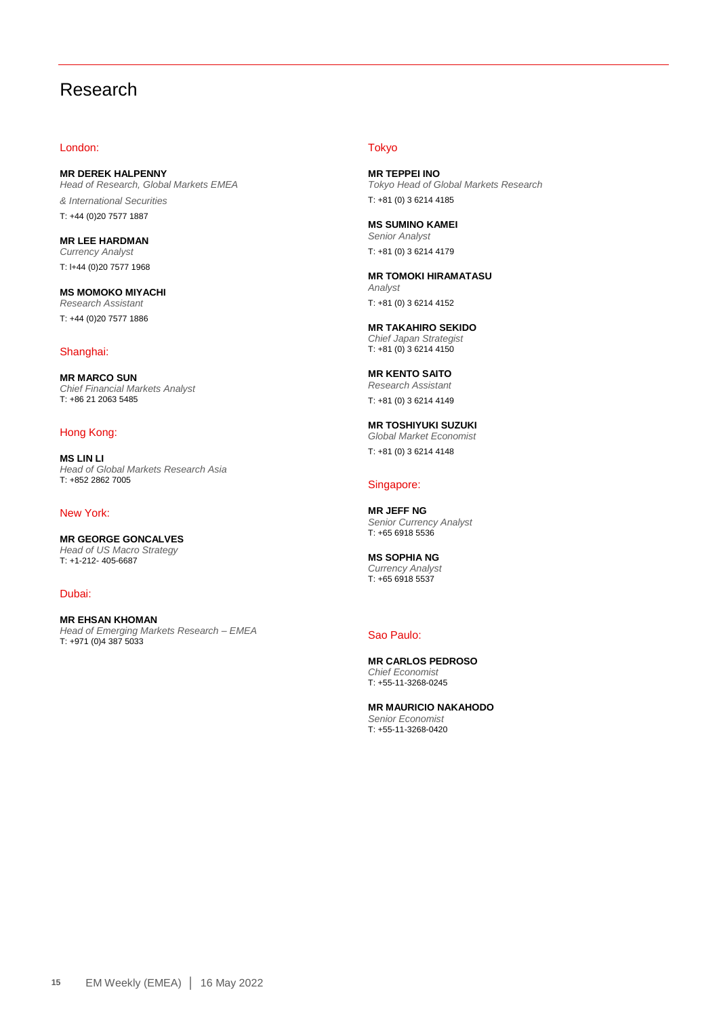# Research

### London:

**MR DEREK HALPENNY** *Head of Research, Global Markets EMEA & International Securities* T: +44 (0)20 7577 1887

**MR LEE HARDMAN** *Currency Analyst* T: l+44 (0)20 7577 1968

**MS MOMOKO MIYACHI** *Research Assistant* T: +44 (0)20 7577 1886

### Shanghai:

**MR MARCO SUN** *Chief Financial Markets Analyst*  T: +86 21 2063 5485

### Hong Kong:

**MS LIN LI** *Head of Global Markets Research Asia* T: +852 2862 7005

### New York:

**MR GEORGE GONCALVES** *Head of US Macro Strategy*  T: +1-212- 405-6687

Dubai:

**MR EHSAN KHOMAN** *Head of Emerging Markets Research – EMEA*  T: +971 (0)4 387 5033

### **Tokyo**

**MR TEPPEI INO** *Tokyo Head of Global Markets Research* T: +81 (0) 3 6214 4185

**MS SUMINO KAMEI** *Senior Analyst* T: +81 (0) 3 6214 4179

**MR TOMOKI HIRAMATASU** *Analyst* T: +81 (0) 3 6214 4152

**MR TAKAHIRO SEKIDO** *Chief Japan Strategist* T: +81 (0) 3 6214 4150

**MR KENTO SAITO** *Research Assistant* T: +81 (0) 3 6214 4149

**MR TOSHIYUKI SUZUKI** *Global Market Economist* T: +81 (0) 3 6214 4148

### Singapore:

**MR JEFF NG** *Senior Currency Analyst* T: +65 6918 5536

**MS SOPHIA NG** *Currency Analyst* T: +65 6918 5537

### Sao Paulo:

**MR CARLOS PEDROSO** *Chief Economist* T: +55-11-3268-0245

**MR MAURICIO NAKAHODO** *Senior Economist* T: +55-11-3268-0420